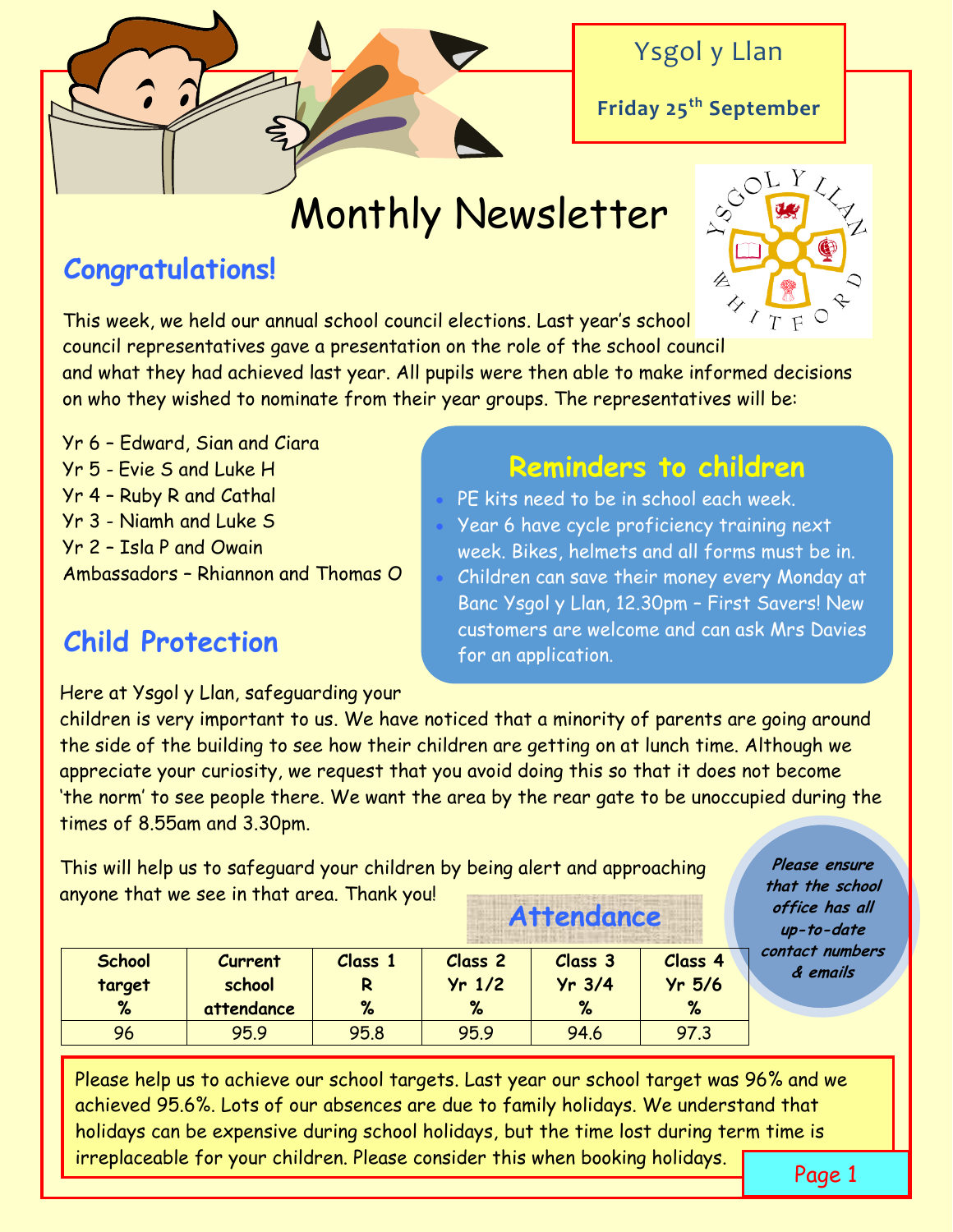

### Ysgol y Llan

**Friday 25th September**

# Monthly Newsletter

### **Congratulations!**



This week, we held our annual school council elections. Last year's school council representatives gave a presentation on the role of the school council and what they had achieved last year. All pupils were then able to make informed decisions on who they wished to nominate from their year groups. The representatives will be:

Yr 6 – Edward, Sian and Ciara Yr 5 - Evie S and Luke H **Reminders to children** Ambassadors – Rhiannon and Thomas O

## **Child Protection** Customers are well

- Yr 4 Ruby R and Cathal PE kits need to be in school each week.
- Yr 3 Niamh and Luke S Year 6 have cycle proficiency training next Yr 2 – Isla P and Owain week. Bikes, helmets and all forms must be in.
	- **Wowwwww!** customers are welcome and can ask Mrs Davies Children can save their money every Monday at Banc Ysgol y Llan, 12.30pm – First Savers! New

Here at Ysgol y Llan, safeguarding your

children is very important to us. We have noticed that a minority of parents are going around the side of the building to see how their children are getting on at lunch time. Although we appreciate your curiosity, we request that you avoid doing this so that it does not become 'the norm' to see people there. We want the area by the rear gate to be unoccupied during the times of 8.55am and 3.30pm.

This will help us to safeguard your children by being alert and approaching anyone that we see in that area. Thank you! **Attendance**

**Please ensure that the school office has all up-to-date contact numbers & emails**

| <b>School</b> | <b>Current</b> | <b>Class</b> | <b>Class 2</b> | Class 3  | <b>Class 4</b> |
|---------------|----------------|--------------|----------------|----------|----------------|
| target        | school         |              | $Yr$ 1/2       | $Yr$ 3/4 | $Yr$ 5/6       |
| %             | attendance     | %            | %              | %        | %              |
| 96            | 95.9           | 95.8         | 95.9           | 94.6     | 97.3           |

Please help us to achieve our school targets. Last year our school target was 96% and we achieved 95.6%. Lots of our absences are due to family holidays. We understand that holidays can be expensive during school holidays, but the time lost during term time is irreplaceable for your children. Please consider this when booking holidays.

Page 1